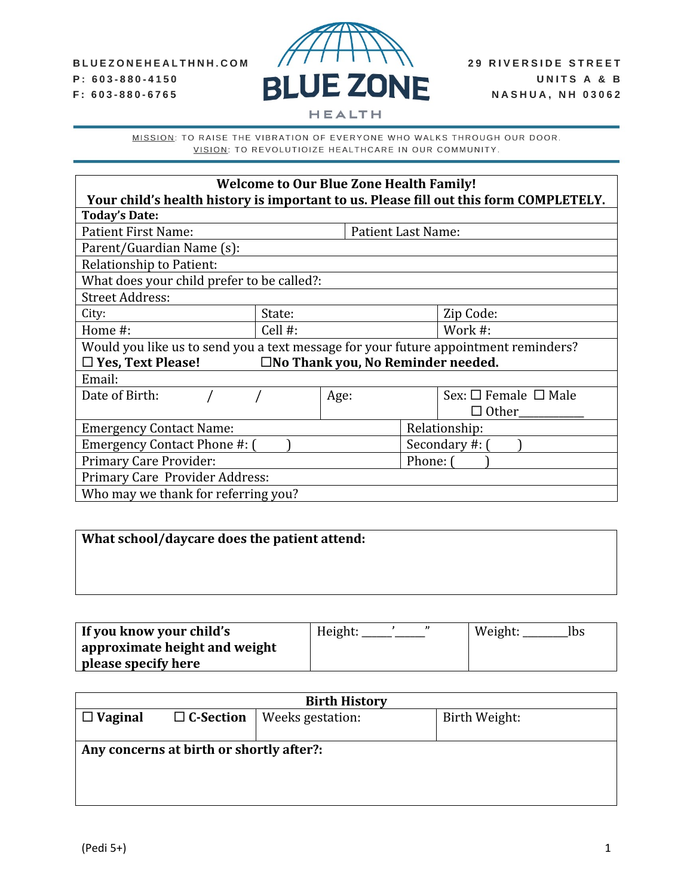

MISSION: TO RAISE THE VIBRATION OF EVERYONE WHO WALKS THROUGH OUR DOOR. VISION: TO REVOLUTIOIZE HEALTHCARE IN OUR COMMUNITY.

| <b>Welcome to Our Blue Zone Health Family!</b><br>Your child's health history is important to us. Please fill out this form COMPLETELY. |            |                    |                |                                |  |
|-----------------------------------------------------------------------------------------------------------------------------------------|------------|--------------------|----------------|--------------------------------|--|
| <b>Today's Date:</b>                                                                                                                    |            |                    |                |                                |  |
| <b>Patient First Name:</b>                                                                                                              |            | Patient Last Name: |                |                                |  |
| Parent/Guardian Name (s):                                                                                                               |            |                    |                |                                |  |
| <b>Relationship to Patient:</b>                                                                                                         |            |                    |                |                                |  |
| What does your child prefer to be called?:                                                                                              |            |                    |                |                                |  |
| <b>Street Address:</b>                                                                                                                  |            |                    |                |                                |  |
| City:                                                                                                                                   | State:     |                    |                | Zip Code:                      |  |
| Home #:                                                                                                                                 | Cell $#$ : |                    | Work #:        |                                |  |
| Would you like us to send you a text message for your future appointment reminders?                                                     |            |                    |                |                                |  |
| $\Box$ Yes, Text Please!<br>$\square$ No Thank you, No Reminder needed.                                                                 |            |                    |                |                                |  |
| Email:                                                                                                                                  |            |                    |                |                                |  |
| Date of Birth:                                                                                                                          |            | Age:               |                | Sex: $\Box$ Female $\Box$ Male |  |
|                                                                                                                                         |            |                    |                | $\Box$ Other                   |  |
| <b>Emergency Contact Name:</b>                                                                                                          |            |                    |                | Relationship:                  |  |
| Emergency Contact Phone #: (                                                                                                            |            |                    | Secondary #: ( |                                |  |
| <b>Primary Care Provider:</b>                                                                                                           |            |                    | Phone: (       |                                |  |
| Primary Care Provider Address:                                                                                                          |            |                    |                |                                |  |
| Who may we thank for referring you?                                                                                                     |            |                    |                |                                |  |

# **What school/daycare does the patient attend:**

| If you know your child's l    | Height: | Weight:<br>Ibs |
|-------------------------------|---------|----------------|
| approximate height and weight |         |                |
| please specify here           |         |                |

|                                          | <b>Birth History</b> |                  |               |  |  |
|------------------------------------------|----------------------|------------------|---------------|--|--|
| $\Box$ Vaginal                           | $\Box$ C-Section     | Weeks gestation: | Birth Weight: |  |  |
|                                          |                      |                  |               |  |  |
| Any concerns at birth or shortly after?: |                      |                  |               |  |  |
|                                          |                      |                  |               |  |  |
|                                          |                      |                  |               |  |  |
|                                          |                      |                  |               |  |  |
|                                          |                      |                  |               |  |  |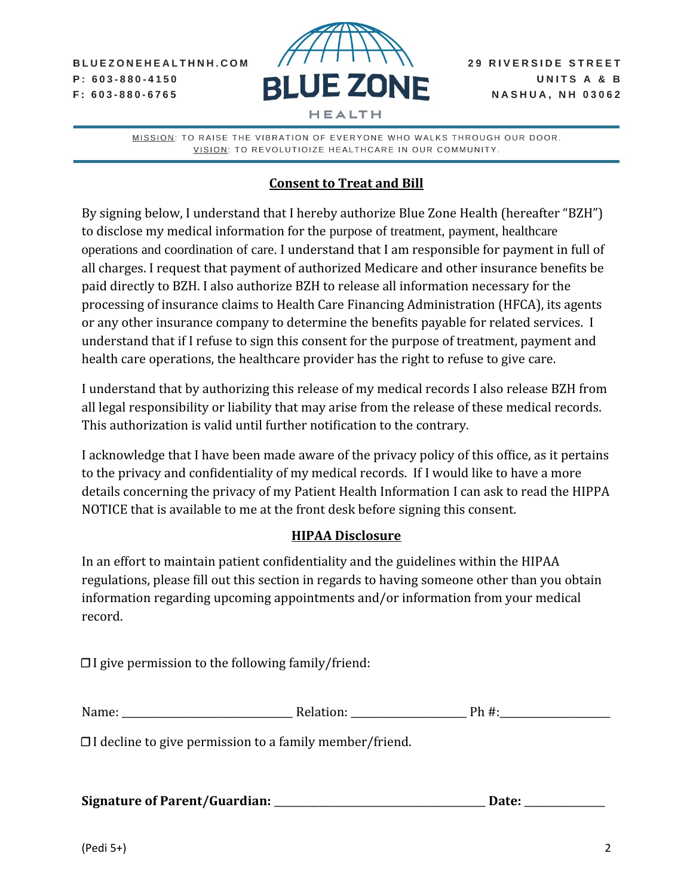BLUEZONEHEALTHNH.COM  $P: 603 - 880 - 4150$  $F: 603 - 880 - 6765$ 



MISSION: TO RAISE THE VIBRATION OF EVERYONE WHO WALKS THROUGH OUR DOOR. VISION: TO REVOLUTIOIZE HEALTHCARE IN OUR COMMUNITY.

## **Consent to Treat and Bill**

By signing below, I understand that I hereby authorize Blue Zone Health (hereafter "BZH") to disclose my medical information for the purpose of treatment, payment, healthcare operations and coordination of care. I understand that I am responsible for payment in full of all charges. I request that payment of authorized Medicare and other insurance benefits be paid directly to BZH. I also authorize BZH to release all information necessary for the processing of insurance claims to Health Care Financing Administration (HFCA), its agents or any other insurance company to determine the benefits payable for related services. I understand that if I refuse to sign this consent for the purpose of treatment, payment and health care operations, the healthcare provider has the right to refuse to give care.

I understand that by authorizing this release of my medical records I also release BZH from all legal responsibility or liability that may arise from the release of these medical records. This authorization is valid until further notification to the contrary.

I acknowledge that I have been made aware of the privacy policy of this office, as it pertains to the privacy and confidentiality of my medical records. If I would like to have a more details concerning the privacy of my Patient Health Information I can ask to read the HIPPA NOTICE that is available to me at the front desk before signing this consent.

### **HIPAA Disclosure**

In an effort to maintain patient confidentiality and the guidelines within the HIPAA regulations, please fill out this section in regards to having someone other than you obtain information regarding upcoming appointments and/or information from your medical record.

 $\Box$  I give permission to the following family/friend:

| Nay | . | $ -$<br>ำเล |
|-----|---|-------------|
|     |   |             |

☐ I decline to give permission to a family member/friend.

| <b>Signature of Parent/Guardian:</b> |  | Date: |  |
|--------------------------------------|--|-------|--|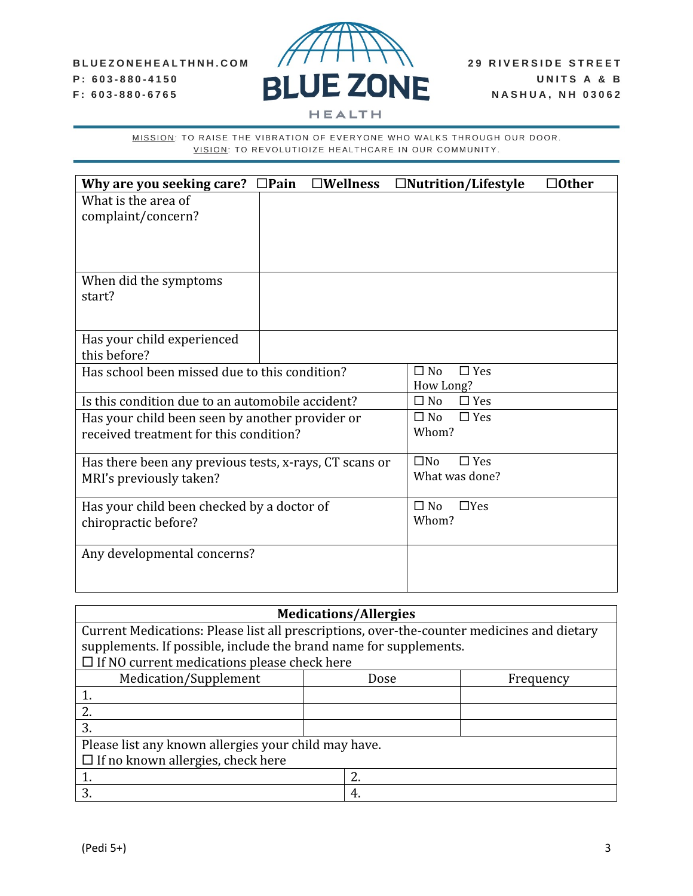#### BLUEZONEHEALTHNH.COM P: 603-880-4150 F: 603-880-6765



MISSION: TO RAISE THE VIBRATION OF EVERYONE WHO WALKS THROUGH OUR DOOR. VISION: TO REVOLUTIOIZE HEALTHCARE IN OUR COMMUNITY.

| Why are you seeking care?                              | $\square$ Pain | $\square$ Wellness |              | $\Box$ Nutrition/Lifestyle | $\Box$ Other |
|--------------------------------------------------------|----------------|--------------------|--------------|----------------------------|--------------|
| What is the area of                                    |                |                    |              |                            |              |
| complaint/concern?                                     |                |                    |              |                            |              |
|                                                        |                |                    |              |                            |              |
|                                                        |                |                    |              |                            |              |
|                                                        |                |                    |              |                            |              |
| When did the symptoms                                  |                |                    |              |                            |              |
| start?                                                 |                |                    |              |                            |              |
|                                                        |                |                    |              |                            |              |
| Has your child experienced                             |                |                    |              |                            |              |
| this before?                                           |                |                    |              |                            |              |
| Has school been missed due to this condition?          |                |                    | $\Box$ No    | $\Box$ Yes                 |              |
|                                                        |                |                    |              | How Long?                  |              |
| Is this condition due to an automobile accident?       |                |                    | $\Box$ No    | $\Box$ Yes                 |              |
| Has your child been seen by another provider or        |                |                    | $\square$ No | $\Box$ Yes                 |              |
| received treatment for this condition?                 |                |                    | Whom?        |                            |              |
|                                                        |                |                    |              |                            |              |
| Has there been any previous tests, x-rays, CT scans or |                |                    | $\square$ No | $\Box$ Yes                 |              |
| MRI's previously taken?                                |                |                    |              | What was done?             |              |
|                                                        |                |                    | $\Box$ No    | $\Box$ Yes                 |              |
| Has your child been checked by a doctor of             |                |                    | Whom?        |                            |              |
| chiropractic before?                                   |                |                    |              |                            |              |
| Any developmental concerns?                            |                |                    |              |                            |              |
|                                                        |                |                    |              |                            |              |
|                                                        |                |                    |              |                            |              |

| <b>Medications/Allergies</b>                                                               |  |    |  |  |
|--------------------------------------------------------------------------------------------|--|----|--|--|
| Current Medications: Please list all prescriptions, over-the-counter medicines and dietary |  |    |  |  |
| supplements. If possible, include the brand name for supplements.                          |  |    |  |  |
| $\Box$ If NO current medications please check here                                         |  |    |  |  |
| Medication/Supplement<br>Dose<br>Frequency                                                 |  |    |  |  |
| 1.                                                                                         |  |    |  |  |
| 2.                                                                                         |  |    |  |  |
| 3.                                                                                         |  |    |  |  |
| Please list any known allergies your child may have.                                       |  |    |  |  |
| $\Box$ If no known allergies, check here                                                   |  |    |  |  |
|                                                                                            |  | 2. |  |  |
| 3.                                                                                         |  | 4. |  |  |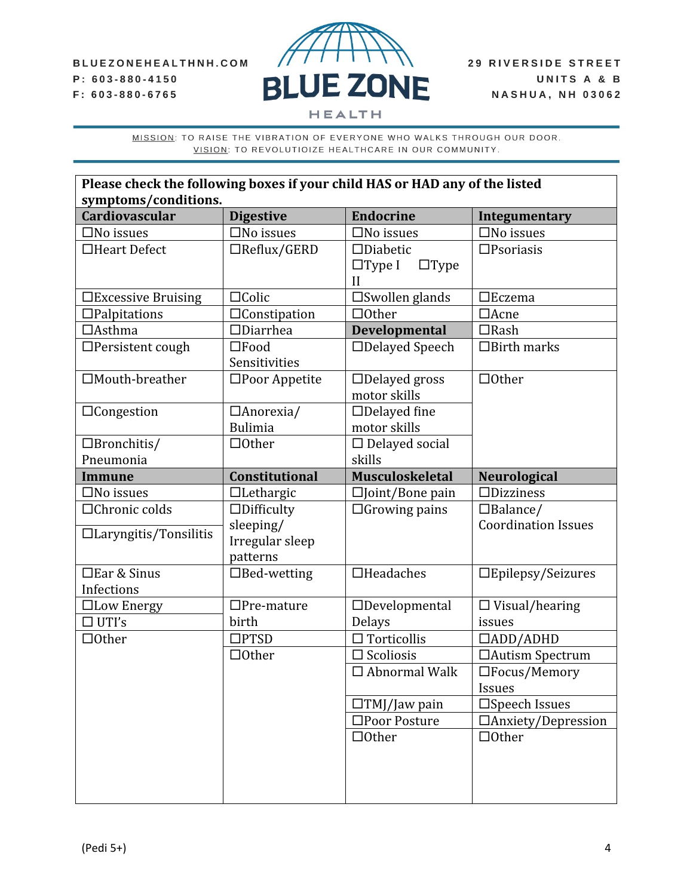

MISSION: TO RAISE THE VIBRATION OF EVERYONE WHO WALKS THROUGH OUR DOOR. VISION: TO REVOLUTIOIZE HEALTHCARE IN OUR COMMUNITY.

| Please check the following boxes if your child HAS or HAD any of the listed |                         |                              |                            |  |  |  |
|-----------------------------------------------------------------------------|-------------------------|------------------------------|----------------------------|--|--|--|
| symptoms/conditions.                                                        |                         |                              |                            |  |  |  |
| <b>Cardiovascular</b>                                                       | <b>Digestive</b>        | <b>Endocrine</b>             | Integumentary              |  |  |  |
| $\square$ No issues                                                         | $\square$ No issues     | $\square$ No issues          | $\square$ No issues        |  |  |  |
| □Heart Defect                                                               | $\Box$ Reflux/GERD      | $\Box$ Diabetic              | $\square$ Psoriasis        |  |  |  |
|                                                                             |                         | $\Box$ Type I<br>$\Box$ Type |                            |  |  |  |
|                                                                             |                         | $\mathbf{I}$                 |                            |  |  |  |
| $\Box$ Excessive Bruising                                                   | $\Box$ Colic            | $\square$ Swollen glands     | $\Box$ Eczema              |  |  |  |
| $\Box$ Palpitations                                                         | □Constipation           | $\Box$ Other                 | $\Box$ Acne                |  |  |  |
| $\Box$ Asthma                                                               | $\Box$ Diarrhea         | <b>Developmental</b>         | $\Box$ Rash                |  |  |  |
| $\Box$ Persistent cough                                                     | $\square$ Food          | $\Box$ Delayed Speech        | $\Box$ Birth marks         |  |  |  |
|                                                                             | Sensitivities           |                              |                            |  |  |  |
| □Mouth-breather                                                             | $\square$ Poor Appetite | $\Box$ Delayed gross         | $\Box$ Other               |  |  |  |
|                                                                             |                         | motor skills                 |                            |  |  |  |
| $\Box$ Congestion                                                           | $\Box$ Anorexia/        | $\Box$ Delayed fine          |                            |  |  |  |
|                                                                             | <b>Bulimia</b>          | motor skills                 |                            |  |  |  |
| $\Box$ Bronchitis/                                                          | $\Box$ Other            | $\Box$ Delayed social        |                            |  |  |  |
| Pneumonia                                                                   |                         | skills                       |                            |  |  |  |
| <b>Immune</b>                                                               | Constitutional          | <b>Musculoskeletal</b>       | <b>Neurological</b>        |  |  |  |
| $\square$ No issues                                                         | $\Box$ Lethargic        | $\square$ Joint/Bone pain    | $\Box$ Dizziness           |  |  |  |
| □Chronic colds                                                              | $\Box$ Difficulty       | $\Box$ Growing pains         | $\Box$ Balance/            |  |  |  |
|                                                                             | sleeping/               |                              | <b>Coordination Issues</b> |  |  |  |
| $\Box$ Laryngitis/Tonsilitis                                                | Irregular sleep         |                              |                            |  |  |  |
|                                                                             | patterns                |                              |                            |  |  |  |
| □Ear & Sinus                                                                | $\Box$ Bed-wetting      | $\Box$ Headaches             | $\Box$ Epilepsy/Seizures   |  |  |  |
| Infections                                                                  |                         |                              |                            |  |  |  |
| □Low Energy                                                                 | $\Box$ Pre-mature       | $\Box$ Developmental         | $\Box$ Visual/hearing      |  |  |  |
| $\Box$ UTI's                                                                | birth                   | Delays                       | issues                     |  |  |  |
| $\Box$ Other                                                                | $\square$ PTSD          | $\Box$ Torticollis           | $\Box$ ADD/ADHD            |  |  |  |
|                                                                             | $\Box$ Other            | $\Box$ Scoliosis             | □Autism Spectrum           |  |  |  |
|                                                                             |                         | $\Box$ Abnormal Walk         | $\Box$ Focus/Memory        |  |  |  |
|                                                                             |                         |                              | Issues                     |  |  |  |
|                                                                             |                         | $\Box TMJ/Jaw$ pain          | $\square$ Speech Issues    |  |  |  |
|                                                                             |                         | □Poor Posture                | $\Box$ Anxiety/Depression  |  |  |  |
|                                                                             |                         | $\Box$ Other                 | $\Box$ Other               |  |  |  |
|                                                                             |                         |                              |                            |  |  |  |
|                                                                             |                         |                              |                            |  |  |  |
|                                                                             |                         |                              |                            |  |  |  |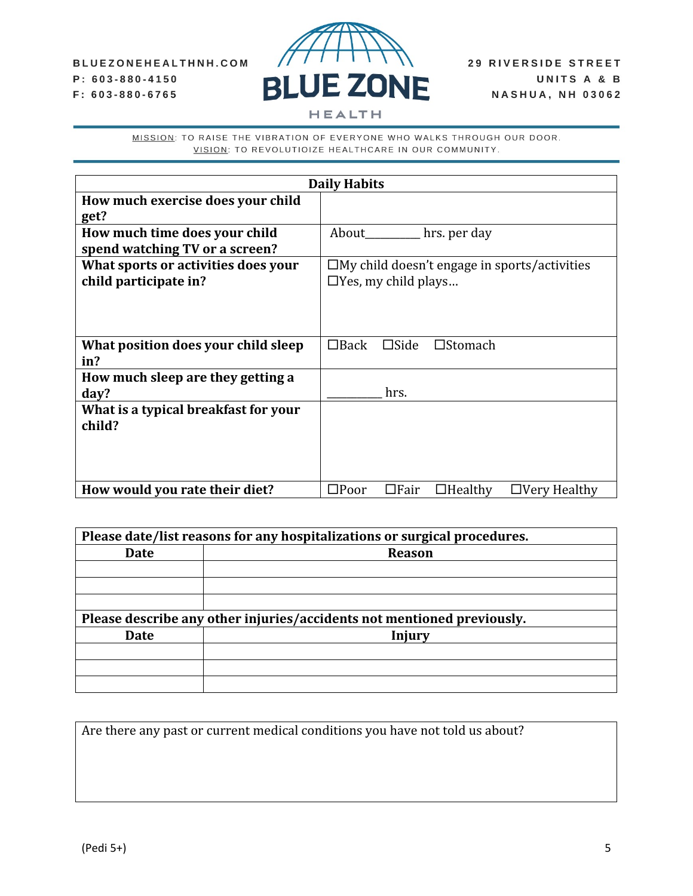

**HEALTH** 

MISSION: TO RAISE THE VIBRATION OF EVERYONE WHO WALKS THROUGH OUR DOOR. VISION: TO REVOLUTIOIZE HEALTHCARE IN OUR COMMUNITY.

| <b>Daily Habits</b>                  |                                                                        |  |  |  |  |
|--------------------------------------|------------------------------------------------------------------------|--|--|--|--|
| How much exercise does your child    |                                                                        |  |  |  |  |
| get?                                 |                                                                        |  |  |  |  |
| How much time does your child        | hrs. per day<br>About                                                  |  |  |  |  |
| spend watching TV or a screen?       |                                                                        |  |  |  |  |
| What sports or activities does your  | $\square$ My child doesn't engage in sports/activities                 |  |  |  |  |
| child participate in?                | $\Box$ Yes, my child plays                                             |  |  |  |  |
|                                      |                                                                        |  |  |  |  |
|                                      |                                                                        |  |  |  |  |
|                                      |                                                                        |  |  |  |  |
| What position does your child sleep  | $\Box$ Back<br>$\square$ Side<br>$\square$ Stomach                     |  |  |  |  |
| in?                                  |                                                                        |  |  |  |  |
| How much sleep are they getting a    |                                                                        |  |  |  |  |
| day?                                 | hrs.                                                                   |  |  |  |  |
| What is a typical breakfast for your |                                                                        |  |  |  |  |
| child?                               |                                                                        |  |  |  |  |
|                                      |                                                                        |  |  |  |  |
|                                      |                                                                        |  |  |  |  |
|                                      |                                                                        |  |  |  |  |
| How would you rate their diet?       | $\square$ Poor<br>$\Box$ Fair<br>$\Box$ Healthy<br>$\Box$ Very Healthy |  |  |  |  |

| Please date/list reasons for any hospitalizations or surgical procedures. |                                                                        |  |  |  |  |
|---------------------------------------------------------------------------|------------------------------------------------------------------------|--|--|--|--|
| <b>Date</b>                                                               | <b>Reason</b>                                                          |  |  |  |  |
|                                                                           |                                                                        |  |  |  |  |
|                                                                           |                                                                        |  |  |  |  |
|                                                                           |                                                                        |  |  |  |  |
|                                                                           | Please describe any other injuries/accidents not mentioned previously. |  |  |  |  |
| <b>Date</b>                                                               | Injury                                                                 |  |  |  |  |
|                                                                           |                                                                        |  |  |  |  |
|                                                                           |                                                                        |  |  |  |  |
|                                                                           |                                                                        |  |  |  |  |

Are there any past or current medical conditions you have not told us about?